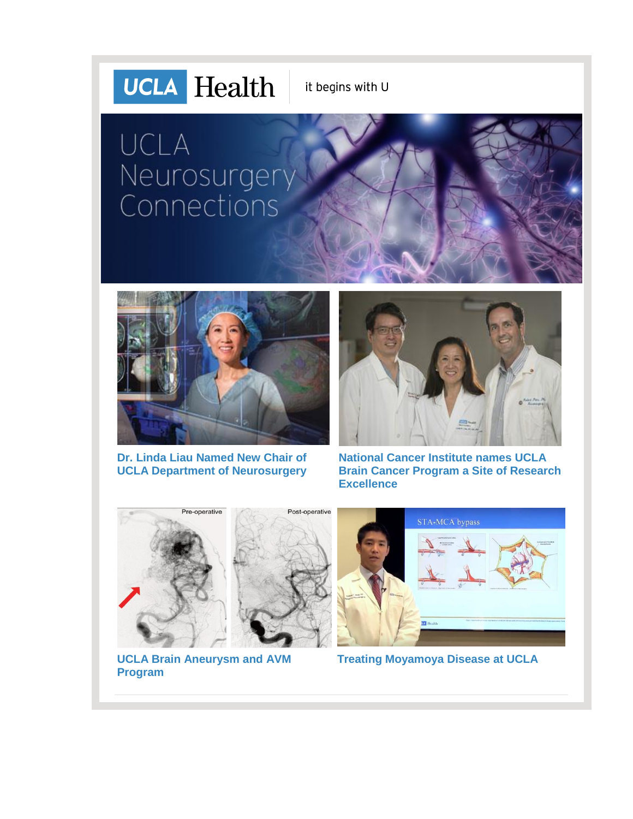# **UCLA** Health

it begins with U

# UCLA Neurosurgery<br>Connections



**[Dr. Linda Liau Named New Chair of](http://r20.rs6.net/tn.jsp?f=001FmZkqkBPjlviTOQ94X4RY0iIfsKBjlD3mKDtWulKSsxgSyAO_2b7cdiwiBR7F4RFqbOUoMn-oKDXYSevukSOtQXBesA31zbFmHrt5-VDPg5F__pNNxvD9H2x1XBSgHh3FB4vDnh19BbbzZC4C1U97tJW0irfAI4SdTWWvVVyfwYmvReQvLNEIgiNFYwhO6czIcQArwzS2tQ=&c=0gKMFNlTVAiSbXBcceaKystBz7sjByVHJa4Fy5-Odu3KOtqaO1_9sQ==&ch=jayJxPCaZoJCFq6_G0usbnSwvWtP_HFN--MqkqzJJE-8hdj2iidDhQ==)  [UCLA Department of Neurosurgery](http://r20.rs6.net/tn.jsp?f=001FmZkqkBPjlviTOQ94X4RY0iIfsKBjlD3mKDtWulKSsxgSyAO_2b7cdiwiBR7F4RFqbOUoMn-oKDXYSevukSOtQXBesA31zbFmHrt5-VDPg5F__pNNxvD9H2x1XBSgHh3FB4vDnh19BbbzZC4C1U97tJW0irfAI4SdTWWvVVyfwYmvReQvLNEIgiNFYwhO6czIcQArwzS2tQ=&c=0gKMFNlTVAiSbXBcceaKystBz7sjByVHJa4Fy5-Odu3KOtqaO1_9sQ==&ch=jayJxPCaZoJCFq6_G0usbnSwvWtP_HFN--MqkqzJJE-8hdj2iidDhQ==)**



**[National Cancer Institute names UCLA](http://r20.rs6.net/tn.jsp?f=001FmZkqkBPjlviTOQ94X4RY0iIfsKBjlD3mKDtWulKSsxgSyAO_2b7cdiwiBR7F4RFjXyYnjd2mg7s0ZbOFVK-h4X31Ia9OmRGLFK1lMPeyrkEQStIYh_j7wBQ2xYNxTnG_aj6sCOT-U_T56YQCLPVlx4suSfmPu8MwWGQCTPXycUYCEfUqAgrfUbCXdImmBBJzpWGFLUepmy3GfVtvgf8CQ==&c=0gKMFNlTVAiSbXBcceaKystBz7sjByVHJa4Fy5-Odu3KOtqaO1_9sQ==&ch=jayJxPCaZoJCFq6_G0usbnSwvWtP_HFN--MqkqzJJE-8hdj2iidDhQ==)  [Brain Cancer Program a Site of Research](http://r20.rs6.net/tn.jsp?f=001FmZkqkBPjlviTOQ94X4RY0iIfsKBjlD3mKDtWulKSsxgSyAO_2b7cdiwiBR7F4RFjXyYnjd2mg7s0ZbOFVK-h4X31Ia9OmRGLFK1lMPeyrkEQStIYh_j7wBQ2xYNxTnG_aj6sCOT-U_T56YQCLPVlx4suSfmPu8MwWGQCTPXycUYCEfUqAgrfUbCXdImmBBJzpWGFLUepmy3GfVtvgf8CQ==&c=0gKMFNlTVAiSbXBcceaKystBz7sjByVHJa4Fy5-Odu3KOtqaO1_9sQ==&ch=jayJxPCaZoJCFq6_G0usbnSwvWtP_HFN--MqkqzJJE-8hdj2iidDhQ==)  [Excellence](http://r20.rs6.net/tn.jsp?f=001FmZkqkBPjlviTOQ94X4RY0iIfsKBjlD3mKDtWulKSsxgSyAO_2b7cdiwiBR7F4RFjXyYnjd2mg7s0ZbOFVK-h4X31Ia9OmRGLFK1lMPeyrkEQStIYh_j7wBQ2xYNxTnG_aj6sCOT-U_T56YQCLPVlx4suSfmPu8MwWGQCTPXycUYCEfUqAgrfUbCXdImmBBJzpWGFLUepmy3GfVtvgf8CQ==&c=0gKMFNlTVAiSbXBcceaKystBz7sjByVHJa4Fy5-Odu3KOtqaO1_9sQ==&ch=jayJxPCaZoJCFq6_G0usbnSwvWtP_HFN--MqkqzJJE-8hdj2iidDhQ==)**



**[Treating Moyamoya Disease at UCLA](http://r20.rs6.net/tn.jsp?f=001FmZkqkBPjlviTOQ94X4RY0iIfsKBjlD3mKDtWulKSsxgSyAO_2b7cdiwiBR7F4RFmvFJw3BSol0jd6-2Fb2XQ0nyiJIv3KPOkPltzefBIzU1xpkQ6IYb9945GwZgaU2KYKb32WjYCit4khjI2__Pv_AsxXIS7J2qG3NkCf0wALNVR-mJvA3zLxchoOeti8x9kRMK6s6adls=&c=0gKMFNlTVAiSbXBcceaKystBz7sjByVHJa4Fy5-Odu3KOtqaO1_9sQ==&ch=jayJxPCaZoJCFq6_G0usbnSwvWtP_HFN--MqkqzJJE-8hdj2iidDhQ==)**

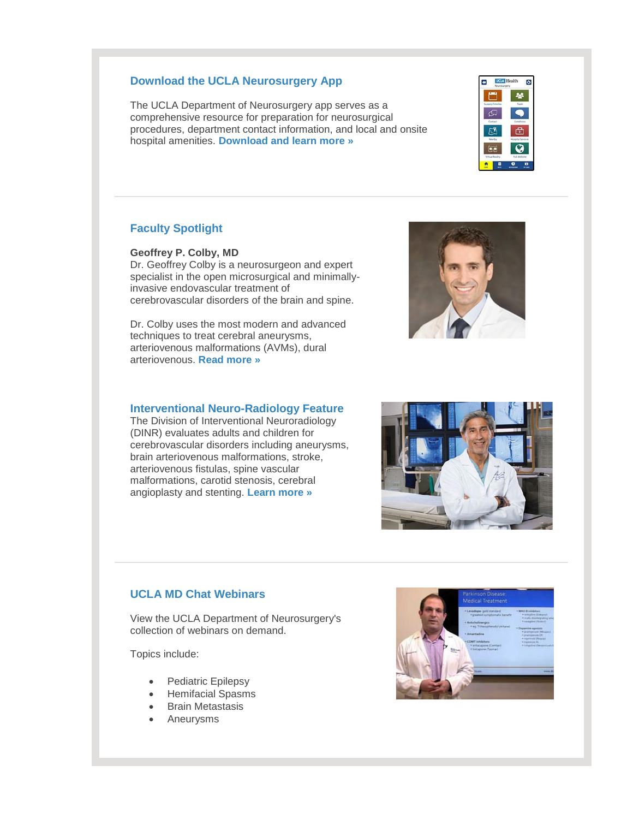#### **Download the UCLA Neurosurgery App**

The UCLA Department of Neurosurgery app serves as a comprehensive resource for preparation for neurosurgical procedures, department contact information, and local and onsite hospital amenities. **[Download and learn more »](http://r20.rs6.net/tn.jsp?f=001FmZkqkBPjlviTOQ94X4RY0iIfsKBjlD3mKDtWulKSsxgSyAO_2b7cdXelAeOdXPXFUzmHNDbXOn5-p-LiH7QZyciU7SQuCujA7TlZyE8Q97pKfb0VZDHZHgHr6_jxCnFEwSrc1oacVQSzhQV6Kuy8xhab3fOScY2YiAq6dQUOdnzJFjDLGccpkRXHzofZ-M-XMywfTsuZ0XzthNvtZunBA==&c=0gKMFNlTVAiSbXBcceaKystBz7sjByVHJa4Fy5-Odu3KOtqaO1_9sQ==&ch=jayJxPCaZoJCFq6_G0usbnSwvWtP_HFN--MqkqzJJE-8hdj2iidDhQ==)**

#### **Faculty Spotlight**

**Geoffrey P. Colby, MD**

Dr. Geoffrey Colby is a neurosurgeon and expert specialist in the open microsurgical and minimallyinvasive endovascular treatment of cerebrovascular disorders of the brain and spine.

Dr. Colby uses the most modern and advanced techniques to treat cerebral aneurysms, arteriovenous malformations (AVMs), dural arteriovenous. **[Read more »](http://r20.rs6.net/tn.jsp?f=001FmZkqkBPjlviTOQ94X4RY0iIfsKBjlD3mKDtWulKSsxgSyAO_2b7cdiwiBR7F4RFQzah0X6rOOzrZkvK0j_XqB99JnTVzbja3ytHRqKoe4NO_jsVu975e80GbOrZ3bs4EE1W6AjMx7hRxbxTTYldMD_jvahDmW_t989qsahsz0dJrV7uPucf7SSGy6z7mjDDJ-TTbomHvMq3QFeBp7jBEAZ-dtumHdX7M2F4F92UONMJJipVIc9PxA==&c=0gKMFNlTVAiSbXBcceaKystBz7sjByVHJa4Fy5-Odu3KOtqaO1_9sQ==&ch=jayJxPCaZoJCFq6_G0usbnSwvWtP_HFN--MqkqzJJE-8hdj2iidDhQ==)**

#### **Interventional Neuro-Radiology Feature**

The Division of Interventional Neuroradiology (DINR) evaluates adults and children for cerebrovascular disorders including aneurysms, brain arteriovenous malformations, stroke, arteriovenous fistulas, spine vascular malformations, carotid stenosis, cerebral angioplasty and stenting. **[Learn more »](http://r20.rs6.net/tn.jsp?f=001FmZkqkBPjlviTOQ94X4RY0iIfsKBjlD3mKDtWulKSsxgSyAO_2b7cdiwiBR7F4RFsChCHzCTfGM8f73fSO4yRXFqCDS9LyopIIzwsftqVYFKM4OCQ2Fk5rA8ySC_8R_X9piB8jly8CuAmpqytfc-53qHX0u-vOZgbnWXulJFIU-E2ef6Ln4AiBMvgZkGNKD7C8GDdCeAE27oirz7ioSLoA==&c=0gKMFNlTVAiSbXBcceaKystBz7sjByVHJa4Fy5-Odu3KOtqaO1_9sQ==&ch=jayJxPCaZoJCFq6_G0usbnSwvWtP_HFN--MqkqzJJE-8hdj2iidDhQ==)**

#### **UCLA MD Chat Webinars**

View the UCLA Department of Neurosurgery's collection of webinars on demand.

Topics include:

- Pediatric Epilepsy
- Hemifacial Spasms
- Brain Metastasis
- Aneurysms